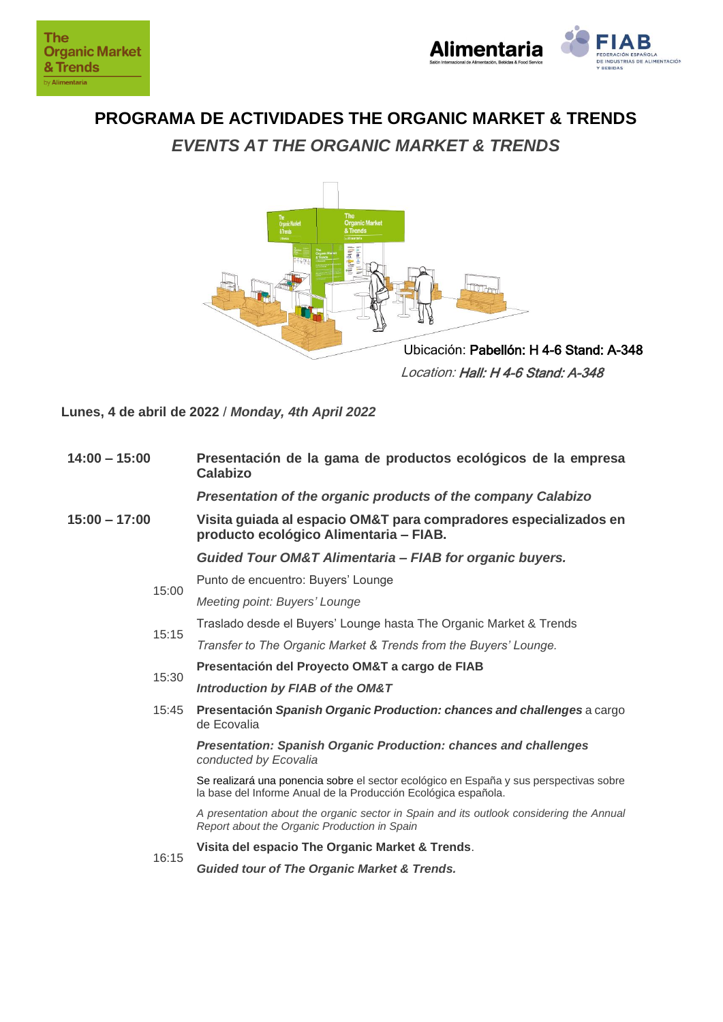

**PROGRAMA DE ACTIVIDADES THE ORGANIC MARKET & TRENDS** *EVENTS AT THE ORGANIC MARKET & TRENDS*



Location: Hall: H 4-6 Stand: A-348

**Lunes, 4 de abril de 2022** / *Monday, 4th April 2022*

| $14:00 - 15:00$ | Presentación de la gama de productos ecológicos de la empresa<br><b>Calabizo</b>                                                                         |
|-----------------|----------------------------------------------------------------------------------------------------------------------------------------------------------|
|                 | Presentation of the organic products of the company Calabizo                                                                                             |
| $15:00 - 17:00$ | Visita guiada al espacio OM&T para compradores especializados en<br>producto ecológico Alimentaria - FIAB.                                               |
|                 | <b>Guided Tour OM&amp;T Alimentaria - FIAB for organic buyers.</b>                                                                                       |
| 15:00           | Punto de encuentro: Buyers' Lounge                                                                                                                       |
|                 | Meeting point: Buyers' Lounge                                                                                                                            |
| 15:15           | Traslado desde el Buyers' Lounge hasta The Organic Market & Trends                                                                                       |
|                 | Transfer to The Organic Market & Trends from the Buyers' Lounge.                                                                                         |
| 15:30           | Presentación del Proyecto OM&T a cargo de FIAB                                                                                                           |
|                 | Introduction by FIAB of the OM&T                                                                                                                         |
| 15:45           | Presentación Spanish Organic Production: chances and challenges a cargo<br>de Ecovalia                                                                   |
|                 | <b>Presentation: Spanish Organic Production: chances and challenges</b><br>conducted by Ecovalia                                                         |
|                 | Se realizará una ponencia sobre el sector ecológico en España y sus perspectivas sobre<br>la base del Informe Anual de la Producción Ecológica española. |
|                 | A presentation about the organic sector in Spain and its outlook considering the Annual<br>Report about the Organic Production in Spain                  |
| 16:15           | Visita del espacio The Organic Market & Trends.                                                                                                          |
|                 | <b>Guided tour of The Organic Market &amp; Trends.</b>                                                                                                   |